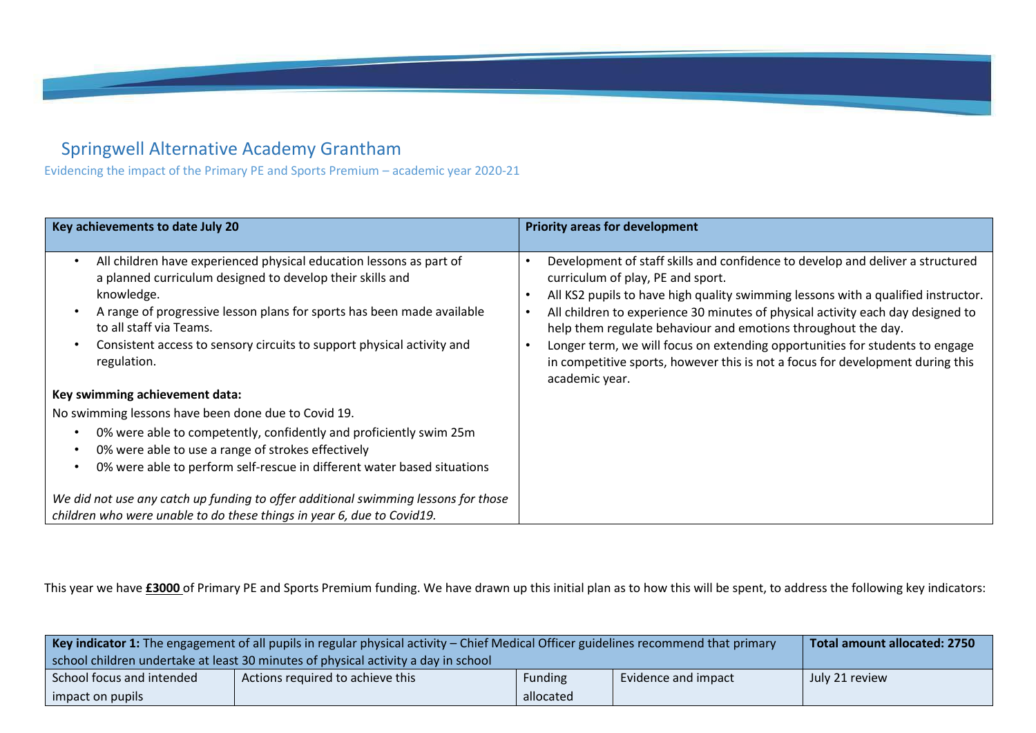## Springwell Alternative Academy Grantham

Evidencing the impact of the Primary PE and Sports Premium – academic year 2020-21

| Key achievements to date July 20                                                                                                                                                                                                                                                                                                             | <b>Priority areas for development</b>                                                                                                                                                                                                                                                                                                                                                                                                                                                                                          |
|----------------------------------------------------------------------------------------------------------------------------------------------------------------------------------------------------------------------------------------------------------------------------------------------------------------------------------------------|--------------------------------------------------------------------------------------------------------------------------------------------------------------------------------------------------------------------------------------------------------------------------------------------------------------------------------------------------------------------------------------------------------------------------------------------------------------------------------------------------------------------------------|
| All children have experienced physical education lessons as part of<br>a planned curriculum designed to develop their skills and<br>knowledge.<br>A range of progressive lesson plans for sports has been made available<br>to all staff via Teams.<br>Consistent access to sensory circuits to support physical activity and<br>regulation. | Development of staff skills and confidence to develop and deliver a structured<br>curriculum of play, PE and sport.<br>All KS2 pupils to have high quality swimming lessons with a qualified instructor.<br>All children to experience 30 minutes of physical activity each day designed to<br>help them regulate behaviour and emotions throughout the day.<br>Longer term, we will focus on extending opportunities for students to engage<br>in competitive sports, however this is not a focus for development during this |
| Key swimming achievement data:                                                                                                                                                                                                                                                                                                               | academic year.                                                                                                                                                                                                                                                                                                                                                                                                                                                                                                                 |
| No swimming lessons have been done due to Covid 19.                                                                                                                                                                                                                                                                                          |                                                                                                                                                                                                                                                                                                                                                                                                                                                                                                                                |
| 0% were able to competently, confidently and proficiently swim 25m<br>0% were able to use a range of strokes effectively<br>$\bullet$<br>0% were able to perform self-rescue in different water based situations                                                                                                                             |                                                                                                                                                                                                                                                                                                                                                                                                                                                                                                                                |
| We did not use any catch up funding to offer additional swimming lessons for those<br>children who were unable to do these things in year 6, due to Covid19.                                                                                                                                                                                 |                                                                                                                                                                                                                                                                                                                                                                                                                                                                                                                                |

This year we have **£3000** of Primary PE and Sports Premium funding. We have drawn up this initial plan as to how this will be spent, to address the following key indicators:

| <b>Key indicator 1:</b> The engagement of all pupils in regular physical activity – Chief Medical Officer guidelines recommend that primary |                                  |                | Total amount allocated: 2750 |                |
|---------------------------------------------------------------------------------------------------------------------------------------------|----------------------------------|----------------|------------------------------|----------------|
| school children undertake at least 30 minutes of physical activity a day in school                                                          |                                  |                |                              |                |
| School focus and intended                                                                                                                   | Actions required to achieve this | <b>Funding</b> | Evidence and impact          | July 21 review |
| impact on pupils                                                                                                                            |                                  | allocated      |                              |                |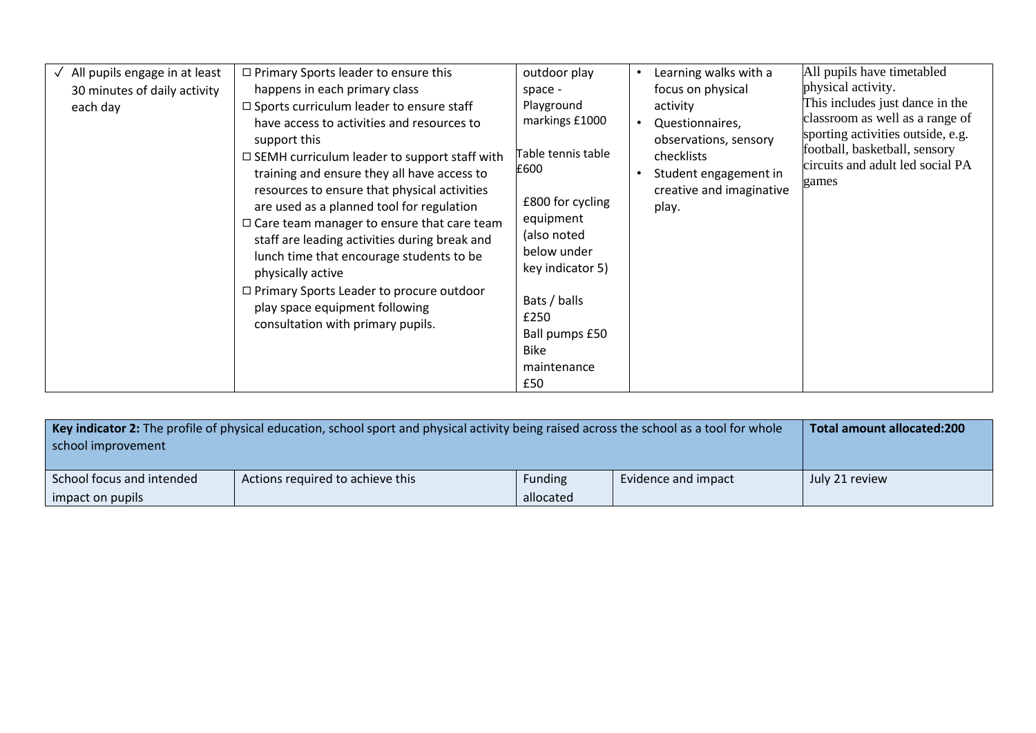| $\sqrt{\phantom{a}}$ All pupils engage in at least<br>30 minutes of daily activity<br>each day | $\Box$ Primary Sports leader to ensure this<br>happens in each primary class<br>$\Box$ Sports curriculum leader to ensure staff<br>have access to activities and resources to<br>support this<br>$\Box$ SEMH curriculum leader to support staff with<br>training and ensure they all have access to<br>resources to ensure that physical activities<br>are used as a planned tool for regulation<br>$\Box$ Care team manager to ensure that care team<br>staff are leading activities during break and<br>lunch time that encourage students to be<br>physically active<br>$\Box$ Primary Sports Leader to procure outdoor<br>play space equipment following<br>consultation with primary pupils. | outdoor play<br>space -<br>Playground<br>markings £1000<br>Table tennis table<br>£600<br>£800 for cycling<br>equipment<br>(also noted<br>below under<br>key indicator 5)<br>Bats / balls<br>£250<br>Ball pumps £50<br><b>Bike</b><br>maintenance<br>£50 | Learning walks with a<br>focus on physical<br>activity<br>Questionnaires,<br>observations, sensory<br>checklists<br>Student engagement in<br>creative and imaginative<br>play. | All pupils have timetabled<br>physical activity.<br>This includes just dance in the<br>classroom as well as a range of<br>sporting activities outside, e.g.<br>football, basketball, sensory<br>circuits and adult led social PA<br>games |
|------------------------------------------------------------------------------------------------|---------------------------------------------------------------------------------------------------------------------------------------------------------------------------------------------------------------------------------------------------------------------------------------------------------------------------------------------------------------------------------------------------------------------------------------------------------------------------------------------------------------------------------------------------------------------------------------------------------------------------------------------------------------------------------------------------|---------------------------------------------------------------------------------------------------------------------------------------------------------------------------------------------------------------------------------------------------------|--------------------------------------------------------------------------------------------------------------------------------------------------------------------------------|-------------------------------------------------------------------------------------------------------------------------------------------------------------------------------------------------------------------------------------------|
|------------------------------------------------------------------------------------------------|---------------------------------------------------------------------------------------------------------------------------------------------------------------------------------------------------------------------------------------------------------------------------------------------------------------------------------------------------------------------------------------------------------------------------------------------------------------------------------------------------------------------------------------------------------------------------------------------------------------------------------------------------------------------------------------------------|---------------------------------------------------------------------------------------------------------------------------------------------------------------------------------------------------------------------------------------------------------|--------------------------------------------------------------------------------------------------------------------------------------------------------------------------------|-------------------------------------------------------------------------------------------------------------------------------------------------------------------------------------------------------------------------------------------|

| <b>Key indicator 2:</b> The profile of physical education, school sport and physical activity being raised across the school as a tool for whole<br>school improvement |                                  |                | Total amount allocated:200 |                |
|------------------------------------------------------------------------------------------------------------------------------------------------------------------------|----------------------------------|----------------|----------------------------|----------------|
| School focus and intended                                                                                                                                              | Actions required to achieve this | <b>Funding</b> | Evidence and impact        | July 21 review |
| impact on pupils                                                                                                                                                       |                                  | allocated      |                            |                |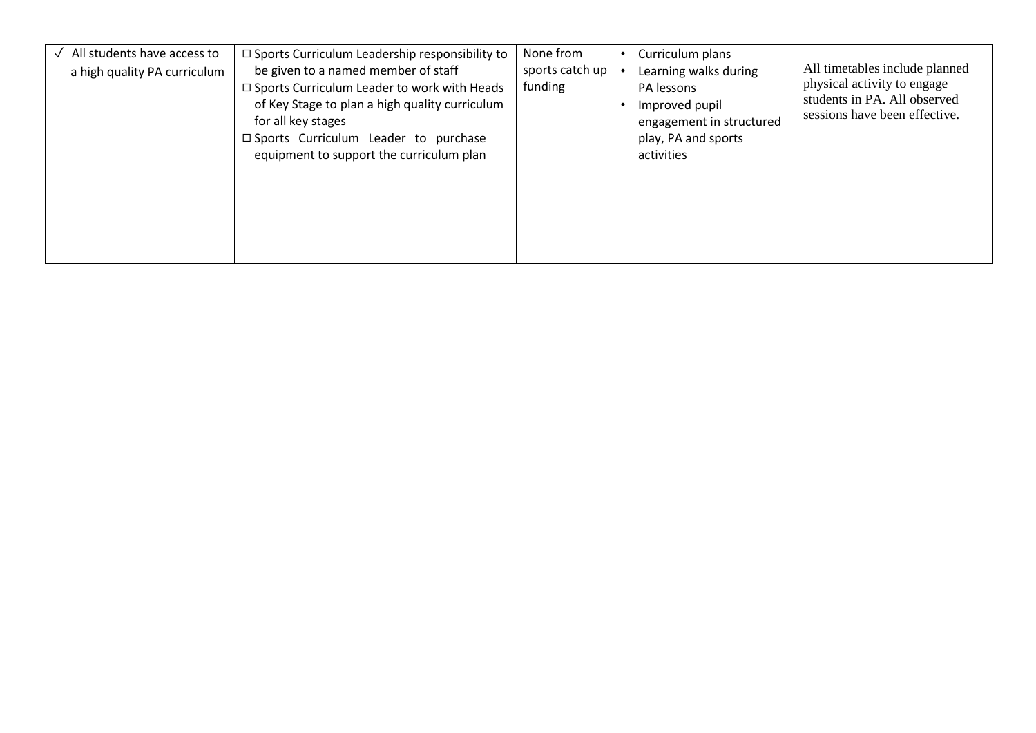| All students have access to<br>a high quality PA curriculum | $\Box$ Sports Curriculum Leadership responsibility to<br>be given to a named member of staff<br>□ Sports Curriculum Leader to work with Heads<br>of Key Stage to plan a high quality curriculum<br>for all key stages<br>□ Sports Curriculum Leader to purchase<br>equipment to support the curriculum plan | None from<br>sports catch up<br>funding | Curriculum plans<br>Learning walks during<br>PA lessons<br>Improved pupil<br>engagement in structured<br>play, PA and sports<br>activities | All timetables include planned<br>physical activity to engage<br>students in PA. All observed<br>sessions have been effective. |
|-------------------------------------------------------------|-------------------------------------------------------------------------------------------------------------------------------------------------------------------------------------------------------------------------------------------------------------------------------------------------------------|-----------------------------------------|--------------------------------------------------------------------------------------------------------------------------------------------|--------------------------------------------------------------------------------------------------------------------------------|
|                                                             |                                                                                                                                                                                                                                                                                                             |                                         |                                                                                                                                            |                                                                                                                                |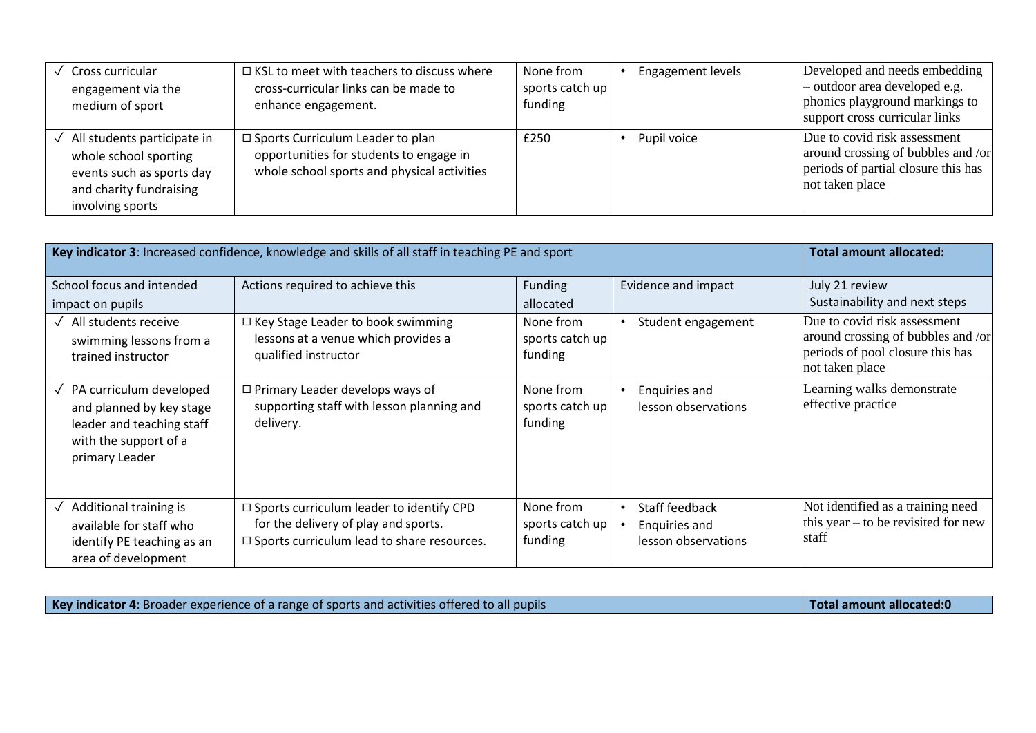| Cross curricular<br>engagement via the<br>medium of sport                                                                        | $\Box$ KSL to meet with teachers to discuss where<br>cross-curricular links can be made to<br>enhance engagement.                 | None from<br>sports catch up<br>funding | <b>Engagement levels</b> | Developed and needs embedding<br>- outdoor area developed e.g.<br>phonics playground markings to<br>support cross curricular links |
|----------------------------------------------------------------------------------------------------------------------------------|-----------------------------------------------------------------------------------------------------------------------------------|-----------------------------------------|--------------------------|------------------------------------------------------------------------------------------------------------------------------------|
| All students participate in<br>whole school sporting<br>events such as sports day<br>and charity fundraising<br>involving sports | $\Box$ Sports Curriculum Leader to plan<br>opportunities for students to engage in<br>whole school sports and physical activities | £250                                    | Pupil voice              | Due to covid risk assessment<br>around crossing of bubbles and /or<br>periods of partial closure this has<br>not taken place       |

| Key indicator 3: Increased confidence, knowledge and skills of all staff in teaching PE and sport                                      |                                                                                                                                                    |                                         | <b>Total amount allocated:</b>                         |                                                                                                                           |
|----------------------------------------------------------------------------------------------------------------------------------------|----------------------------------------------------------------------------------------------------------------------------------------------------|-----------------------------------------|--------------------------------------------------------|---------------------------------------------------------------------------------------------------------------------------|
| School focus and intended                                                                                                              | Actions required to achieve this                                                                                                                   | <b>Funding</b>                          | Evidence and impact                                    | July 21 review                                                                                                            |
| impact on pupils                                                                                                                       |                                                                                                                                                    | allocated                               |                                                        | Sustainability and next steps                                                                                             |
| $\sqrt{\phantom{a}}$ All students receive<br>swimming lessons from a<br>trained instructor                                             | $\Box$ Key Stage Leader to book swimming<br>lessons at a venue which provides a<br>qualified instructor                                            | None from<br>sports catch up<br>funding | Student engagement                                     | Due to covid risk assessment<br>around crossing of bubbles and /or<br>periods of pool closure this has<br>not taken place |
| $\sqrt{P}$ PA curriculum developed<br>and planned by key stage<br>leader and teaching staff<br>with the support of a<br>primary Leader | $\Box$ Primary Leader develops ways of<br>supporting staff with lesson planning and<br>delivery.                                                   | None from<br>sports catch up<br>funding | Enquiries and<br>lesson observations                   | Learning walks demonstrate<br>effective practice                                                                          |
| Additional training is<br>available for staff who<br>identify PE teaching as an<br>area of development                                 | $\square$ Sports curriculum leader to identify CPD<br>for the delivery of play and sports.<br>$\square$ Sports curriculum lead to share resources. | None from<br>sports catch up<br>funding | Staff feedback<br>Enquiries and<br>lesson observations | Not identified as a training need<br>this year $-$ to be revisited for new<br>staff                                       |

Key indicator 4: Broader experience of a range of sports and activities offered to all pupils **Total amount allocated:0**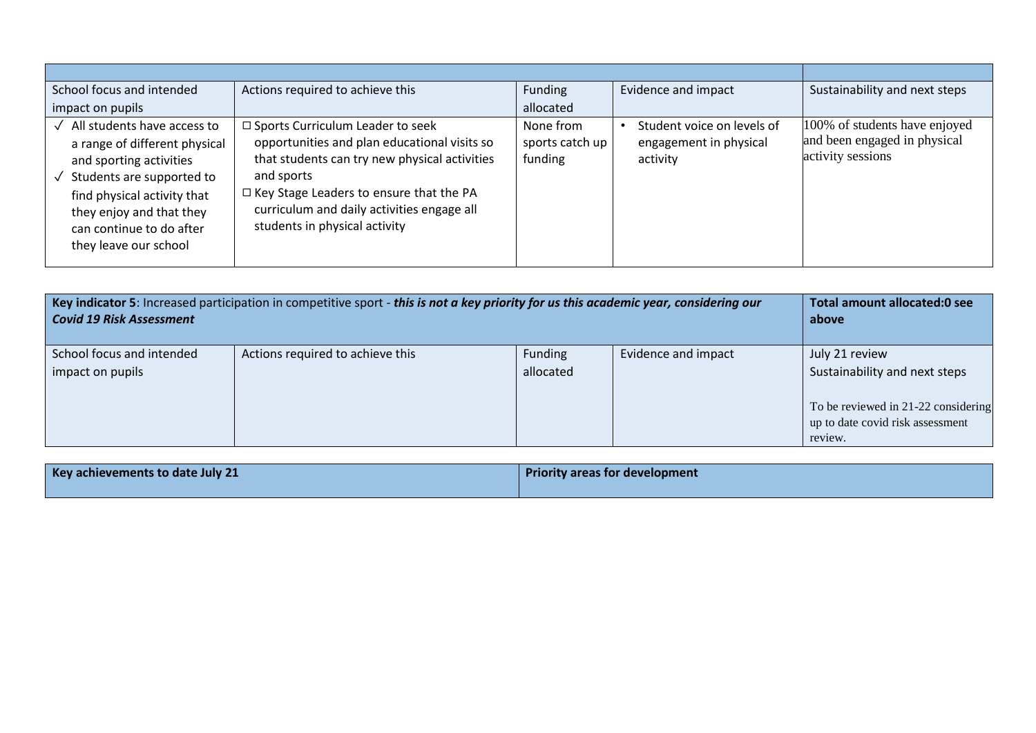| School focus and intended                                                                                                                                                                                                            | Actions required to achieve this                                                                                                                                                                                                                                                        | Funding                                 | Evidence and impact                                              | Sustainability and next steps                                                      |
|--------------------------------------------------------------------------------------------------------------------------------------------------------------------------------------------------------------------------------------|-----------------------------------------------------------------------------------------------------------------------------------------------------------------------------------------------------------------------------------------------------------------------------------------|-----------------------------------------|------------------------------------------------------------------|------------------------------------------------------------------------------------|
| impact on pupils                                                                                                                                                                                                                     |                                                                                                                                                                                                                                                                                         | allocated                               |                                                                  |                                                                                    |
| All students have access to<br>a range of different physical<br>and sporting activities<br>Students are supported to<br>find physical activity that<br>they enjoy and that they<br>can continue to do after<br>they leave our school | $\Box$ Sports Curriculum Leader to seek<br>opportunities and plan educational visits so<br>that students can try new physical activities<br>and sports<br>$\Box$ Key Stage Leaders to ensure that the PA<br>curriculum and daily activities engage all<br>students in physical activity | None from<br>sports catch up<br>funding | Student voice on levels of<br>engagement in physical<br>activity | 100% of students have enjoyed<br>and been engaged in physical<br>activity sessions |

| Key indicator 5: Increased participation in competitive sport - this is not a key priority for us this academic year, considering our |                                  |                      | <b>Total amount allocated:0 see</b> |                                                                                                                                       |
|---------------------------------------------------------------------------------------------------------------------------------------|----------------------------------|----------------------|-------------------------------------|---------------------------------------------------------------------------------------------------------------------------------------|
| <b>Covid 19 Risk Assessment</b>                                                                                                       |                                  |                      | above                               |                                                                                                                                       |
| School focus and intended<br>impact on pupils                                                                                         | Actions required to achieve this | Funding<br>allocated | Evidence and impact                 | July 21 review<br>Sustainability and next steps<br>To be reviewed in 21-22 considering<br>up to date covid risk assessment<br>review. |

| Key achievements to date July 21 | Priority areas for development |
|----------------------------------|--------------------------------|
|                                  |                                |